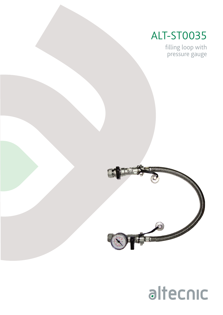### ALT-ST0035

filling loop with pressure gauge



## altecnic